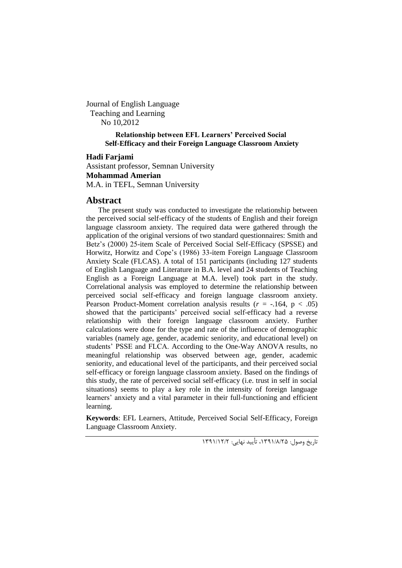Journal of English Language Teaching and Learning No 10,2012

> **Relationship between EFL Learners' Perceived Social Self-Efficacy and their Foreign Language Classroom Anxiety**

#### **Hadi Farjami**

Assistant professor, Semnan University **Mohammad Amerian** M.A. in TEFL, Semnan University

# **Abstract**

The present study was conducted to investigate the relationship between the perceived social self-efficacy of the students of English and their foreign language classroom anxiety. The required data were gathered through the application of the original versions of two standard questionnaires: Smith and Betz's (2000) 25-item Scale of Perceived Social Self-Efficacy (SPSSE) and Horwitz, Horwitz and Cope's (1986) 33-item Foreign Language Classroom Anxiety Scale (FLCAS). A total of 151 participants (including 127 students of English Language and Literature in B.A. level and 24 students of Teaching English as a Foreign Language at M.A. level) took part in the study. Correlational analysis was employed to determine the relationship between perceived social self-efficacy and foreign language classroom anxiety. Pearson Product-Moment correlation analysis results  $(r = -.164, p < .05)$ showed that the participants' perceived social self-efficacy had a reverse relationship with their foreign language classroom anxiety. Further calculations were done for the type and rate of the influence of demographic variables (namely age, gender, academic seniority, and educational level) on students' PSSE and FLCA. According to the One-Way ANOVA results, no meaningful relationship was observed between age, gender, academic seniority, and educational level of the participants, and their perceived social self-efficacy or foreign language classroom anxiety. Based on the findings of this study, the rate of perceived social self-efficacy (i.e. trust in self in social situations) seems to play a key role in the intensity of foreign language learners' anxiety and a vital parameter in their full-functioning and efficient learning.

**Keywords**: EFL Learners, Attitude, Perceived Social Self-Efficacy, Foreign Language Classroom Anxiety.

تاریخ وصول: ،1931/8/52 تأیید نهایی: 1931/15/5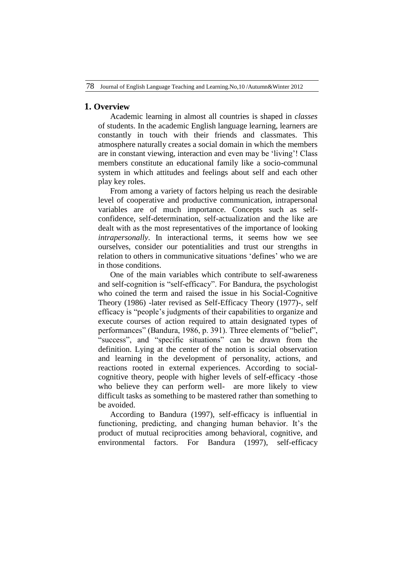# **1. Overview**

Academic learning in almost all countries is shaped in *classes* of students. In the academic English language learning, learners are constantly in touch with their friends and classmates. This atmosphere naturally creates a social domain in which the members are in constant viewing, interaction and even may be 'living'! Class members constitute an educational family like a socio-communal system in which attitudes and feelings about self and each other play key roles.

From among a variety of factors helping us reach the desirable level of cooperative and productive communication, intrapersonal variables are of much importance. Concepts such as selfconfidence, self-determination, self-actualization and the like are dealt with as the most representatives of the importance of looking *intrapersonally*. In interactional terms, it seems how we see ourselves, consider our potentialities and trust our strengths in relation to others in communicative situations 'defines' who we are in those conditions.

One of the main variables which contribute to self-awareness and self-cognition is "self-efficacy". For Bandura, the psychologist who coined the term and raised the issue in his Social-Cognitive Theory (1986) -later revised as Self-Efficacy Theory (1977)-, self efficacy is "people's judgments of their capabilities to organize and execute courses of action required to attain designated types of performances" (Bandura, 1986, p. 391). Three elements of "belief", "success", and "specific situations" can be drawn from the definition. Lying at the center of the notion is social observation and learning in the development of personality, actions, and reactions rooted in external experiences. According to socialcognitive theory, people with higher levels of self-efficacy -those who believe they can perform well- are more likely to view difficult tasks as something to be mastered rather than something to be avoided.

According to Bandura (1997), self-efficacy is influential in functioning, predicting, and changing human behavior. It's the product of mutual reciprocities among behavioral, cognitive, and environmental factors. For Bandura (1997), self-efficacy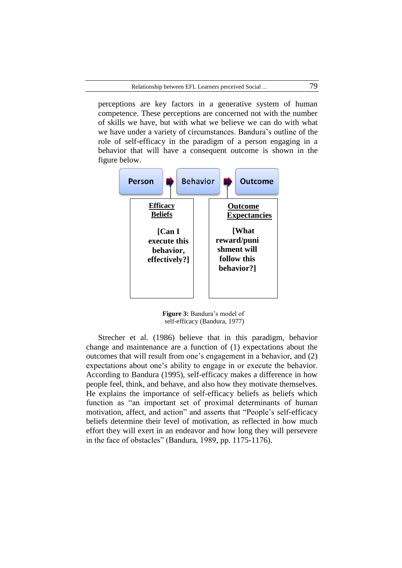perceptions are key factors in a generative system of human competence. These perceptions are concerned not with the number of skills we have, but with what we believe we can do with what we have under a variety of circumstances. Bandura's outline of the role of self-efficacy in the paradigm of a person engaging in a behavior that will have a consequent outcome is shown in the figure below.



 **Figure 3:** Bandura's model of self-efficacy (Bandura, 1977)

Strecher et al. (1986) believe that in this paradigm, behavior change and maintenance are a function of (1) expectations about the outcomes that will result from one's engagement in a behavior, and (2) expectations about one's ability to engage in or execute the behavior. According to Bandura (1995), self-efficacy makes a difference in how people feel, think, and behave, and also how they motivate themselves. He explains the importance of self-efficacy beliefs as beliefs which function as "an important set of proximal determinants of human motivation, affect, and action" and asserts that "People's self-efficacy beliefs determine their level of motivation, as reflected in how much effort they will exert in an endeavor and how long they will persevere in the face of obstacles" (Bandura, 1989, pp. 1175-1176).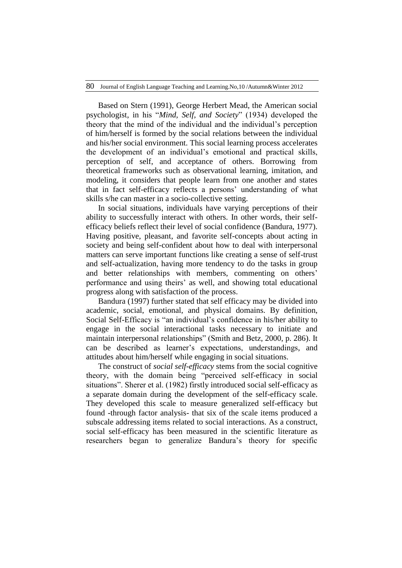Based on Stern (1991), George Herbert Mead, the American social psychologist, in his "*Mind, Self, and Society*" (1934) developed the theory that the mind of the individual and the individual's perception of him/herself is formed by the social relations between the individual and his/her social environment. This social learning process accelerates the development of an individual's emotional and practical skills, perception of self, and acceptance of others. Borrowing from theoretical frameworks such as observational learning, imitation, and modeling, it considers that people learn from one another and states that in fact self-efficacy reflects a persons' understanding of what skills s/he can master in a socio-collective setting.

In social situations, individuals have varying perceptions of their ability to successfully interact with others. In other words, their selfefficacy beliefs reflect their level of social confidence (Bandura, 1977). Having positive, pleasant, and favorite self-concepts about acting in society and being self-confident about how to deal with interpersonal matters can serve important functions like creating a sense of self-trust and self-actualization, having more tendency to do the tasks in group and better relationships with members, commenting on others' performance and using theirs' as well, and showing total educational progress along with satisfaction of the process.

Bandura (1997) further stated that self efficacy may be divided into academic, social, emotional, and physical domains. By definition, Social Self-Efficacy is "an individual's confidence in his/her ability to engage in the social interactional tasks necessary to initiate and maintain interpersonal relationships" (Smith and Betz, 2000, p. 286). It can be described as learner's expectations, understandings, and attitudes about him/herself while engaging in social situations.

The construct of *social self-efficacy* stems from the social cognitive theory, with the domain being "perceived self-efficacy in social situations". Sherer et al. (1982) firstly introduced social self-efficacy as a separate domain during the development of the self-efficacy scale. They developed this scale to measure generalized self-efficacy but found -through factor analysis- that six of the scale items produced a subscale addressing items related to social interactions. As a construct, social self-efficacy has been measured in the scientific literature as researchers began to generalize Bandura's theory for specific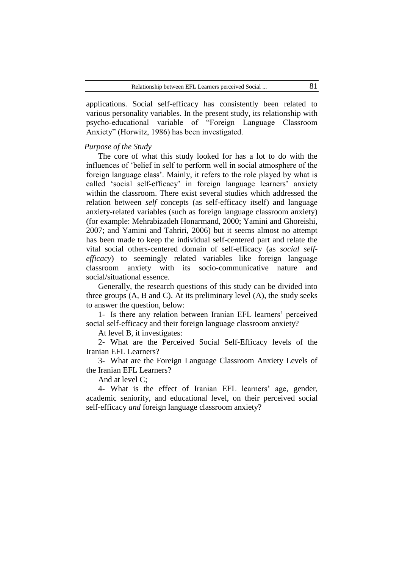applications. Social self-efficacy has consistently been related to various personality variables. In the present study, its relationship with psycho-educational variable of "Foreign Language Classroom Anxiety" (Horwitz, 1986) has been investigated.

#### *Purpose of the Study*

The core of what this study looked for has a lot to do with the influences of 'belief in self to perform well in social atmosphere of the foreign language class'. Mainly, it refers to the role played by what is called 'social self-efficacy' in foreign language learners' anxiety within the classroom. There exist several studies which addressed the relation between *self* concepts (as self-efficacy itself) and language anxiety-related variables (such as foreign language classroom anxiety) (for example: Mehrabizadeh Honarmand, 2000; Yamini and Ghoreishi, 2007; and Yamini and Tahriri, 2006) but it seems almost no attempt has been made to keep the individual self-centered part and relate the vital social others-centered domain of self-efficacy (as *social selfefficacy*) to seemingly related variables like foreign language classroom anxiety with its socio-communicative nature and social/situational essence.

Generally, the research questions of this study can be divided into three groups (A, B and C). At its preliminary level (A), the study seeks to answer the question, below:

1- Is there any relation between Iranian EFL learners' perceived social self-efficacy and their foreign language classroom anxiety?

At level B, it investigates:

2- What are the Perceived Social Self-Efficacy levels of the Iranian EFL Learners?

3- What are the Foreign Language Classroom Anxiety Levels of the Iranian EFL Learners?

And at level C;

4- What is the effect of Iranian EFL learners' age, gender, academic seniority, and educational level, on their perceived social self-efficacy *and* foreign language classroom anxiety?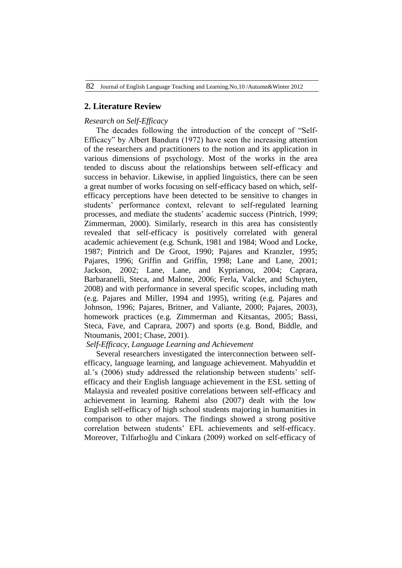# **2. Literature Review**

### *Research on Self-Efficacy*

The decades following the introduction of the concept of "Self-Efficacy" by Albert Bandura (1972) have seen the increasing attention of the researchers and practitioners to the notion and its application in various dimensions of psychology. Most of the works in the area tended to discuss about the relationships between self-efficacy and success in behavior. Likewise, in applied linguistics, there can be seen a great number of works focusing on self-efficacy based on which, selfefficacy perceptions have been detected to be sensitive to changes in students' performance context, relevant to self-regulated learning processes, and mediate the students' academic success (Pintrich, 1999; Zimmerman, 2000). Similarly, research in this area has consistently revealed that self-efficacy is positively correlated with general academic achievement (e.g. Schunk, 1981 and 1984; Wood and Locke, 1987; Pintrich and De Groot, 1990; Pajares and Kranzler, 1995; Pajares, 1996; Griffin and Griffin, 1998; Lane and Lane, 2001; Jackson, 2002; Lane, Lane, and Kyprianou, 2004; Caprara, Barbaranelli, Steca, and Malone, 2006; Ferla, Valcke, and Schuyten, 2008) and with performance in several specific scopes, including math (e.g. Pajares and Miller, 1994 and 1995), writing (e.g. Pajares and Johnson, 1996; Pajares, Britner, and Valiante, 2000; Pajares, 2003), homework practices (e.g. Zimmerman and Kitsantas, 2005; Bassi, Steca, Fave, and Caprara, 2007) and sports (e.g. Bond, Biddle, and Ntoumanis, 2001; Chase, 2001).

### *Self-Efficacy, Language Learning and Achievement*

Several researchers investigated the interconnection between selfefficacy, language learning, and language achievement. Mahyuddin et al.'s (2006) study addressed the relationship between students' selfefficacy and their English language achievement in the ESL setting of Malaysia and revealed positive correlations between self-efficacy and achievement in learning. Rahemi also (2007) dealt with the low English self-efficacy of high school students majoring in humanities in comparison to other majors. The findings showed a strong positive correlation between students' EFL achievements and self-efficacy. Moreover, Tılfarlıoğlu and Cinkara (2009) worked on self-efficacy of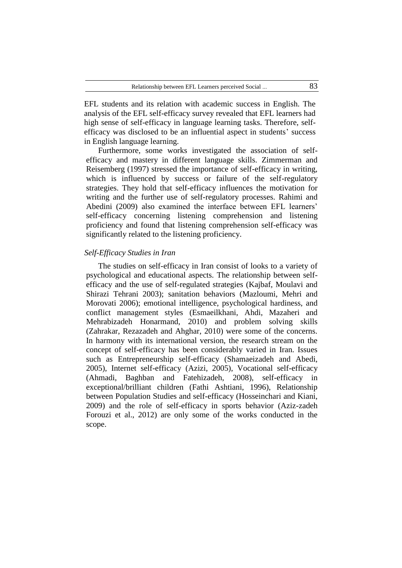EFL students and its relation with academic success in English. The analysis of the EFL self-efficacy survey revealed that EFL learners had high sense of self-efficacy in language learning tasks. Therefore, selfefficacy was disclosed to be an influential aspect in students' success in English language learning.

Furthermore, some works investigated the association of selfefficacy and mastery in different language skills. Zimmerman and Reisemberg (1997) stressed the importance of self-efficacy in writing, which is influenced by success or failure of the self-regulatory strategies. They hold that self-efficacy influences the motivation for writing and the further use of self-regulatory processes. Rahimi and Abedini (2009) also examined the interface between EFL learners' self-efficacy concerning listening comprehension and listening proficiency and found that listening comprehension self-efficacy was significantly related to the listening proficiency.

#### *Self-Efficacy Studies in Iran*

The studies on self-efficacy in Iran consist of looks to a variety of psychological and educational aspects. The relationship between selfefficacy and the use of self-regulated strategies (Kajbaf, Moulavi and Shirazi Tehrani 2003); sanitation behaviors (Mazloumi, Mehri and Morovati 2006); emotional intelligence, psychological hardiness, and conflict management styles (Esmaeilkhani, Ahdi, Mazaheri and Mehrabizadeh Honarmand, 2010) and problem solving skills (Zahrakar, Rezazadeh and Ahghar, 2010) were some of the concerns. In harmony with its international version, the research stream on the concept of self-efficacy has been considerably varied in Iran. Issues such as Entrepreneurship self-efficacy (Shamaeizadeh and Abedi, 2005), Internet self-efficacy (Azizi, 2005), Vocational self-efficacy (Ahmadi, Baghban and Fatehizadeh, 2008), self-efficacy in exceptional/brilliant children (Fathi Ashtiani, 1996), Relationship between Population Studies and self-efficacy (Hosseinchari and Kiani, 2009) and the role of self-efficacy in sports behavior (Aziz-zadeh Forouzi et al., 2012) are only some of the works conducted in the scope.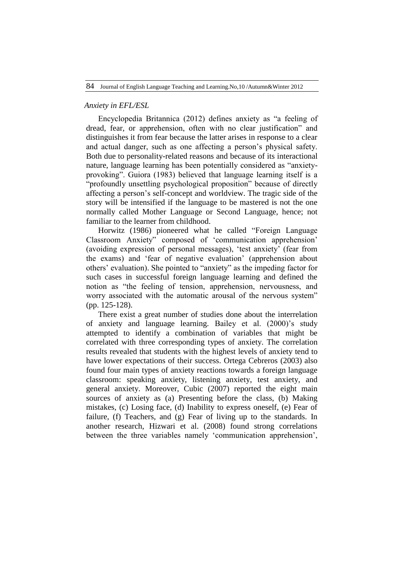#### *Anxiety in EFL/ESL*

Encyclopedia Britannica (2012) defines anxiety as "a feeling of dread, fear, or apprehension, often with no clear justification" and distinguishes it from fear because the latter arises in response to a clear and actual danger, such as one affecting a person's physical safety. Both due to personality-related reasons and because of its interactional nature, language learning has been potentially considered as "anxietyprovoking". Guiora (1983) believed that language learning itself is a "profoundly unsettling psychological proposition" because of directly affecting a person's self-concept and worldview. The tragic side of the story will be intensified if the language to be mastered is not the one normally called Mother Language or Second Language, hence; not familiar to the learner from childhood.

Horwitz (1986) pioneered what he called "Foreign Language Classroom Anxiety" composed of 'communication apprehension' (avoiding expression of personal messages), 'test anxiety' (fear from the exams) and 'fear of negative evaluation' (apprehension about others' evaluation). She pointed to "anxiety" as the impeding factor for such cases in successful foreign language learning and defined the notion as "the feeling of tension, apprehension, nervousness, and worry associated with the automatic arousal of the nervous system" (pp. 125-128).

There exist a great number of studies done about the interrelation of anxiety and language learning. Bailey et al. (2000)'s study attempted to identify a combination of variables that might be correlated with three corresponding types of anxiety. The correlation results revealed that students with the highest levels of anxiety tend to have lower expectations of their success. Ortega Cebreros (2003) also found four main types of anxiety reactions towards a foreign language classroom: speaking anxiety, listening anxiety, test anxiety, and general anxiety. Moreover, Cubic (2007) reported the eight main sources of anxiety as (a) Presenting before the class, (b) Making mistakes, (c) Losing face, (d) Inability to express oneself, (e) Fear of failure, (f) Teachers, and (g) Fear of living up to the standards. In another research, Hizwari et al. (2008) found strong correlations between the three variables namely 'communication apprehension',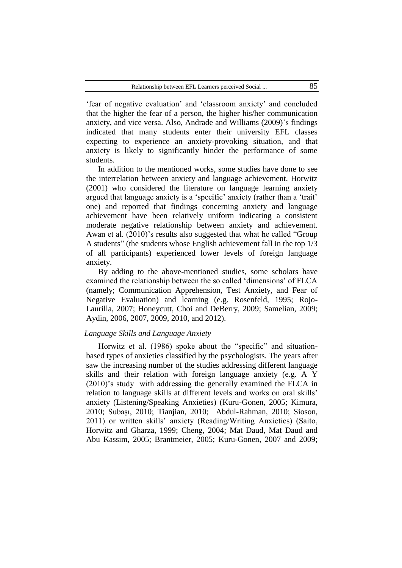'fear of negative evaluation' and 'classroom anxiety' and concluded that the higher the fear of a person, the higher his/her communication anxiety, and vice versa. Also, Andrade and Williams (2009)'s findings indicated that many students enter their university EFL classes expecting to experience an anxiety-provoking situation, and that anxiety is likely to significantly hinder the performance of some students.

In addition to the mentioned works, some studies have done to see the interrelation between anxiety and language achievement. Horwitz (2001) who considered the literature on language learning anxiety argued that language anxiety is a 'specific' anxiety (rather than a 'trait' one) and reported that findings concerning anxiety and language achievement have been relatively uniform indicating a consistent moderate negative relationship between anxiety and achievement. Awan et al. (2010)'s results also suggested that what he called "Group A students" (the students whose English achievement fall in the top 1/3 of all participants) experienced lower levels of foreign language anxiety.

By adding to the above-mentioned studies, some scholars have examined the relationship between the so called 'dimensions' of FLCA (namely; Communication Apprehension, Test Anxiety, and Fear of Negative Evaluation) and learning (e.g. Rosenfeld, 1995; Rojo-Laurilla, 2007; Honeycutt, Choi and DeBerry, 2009; Samelian, 2009; Aydin, 2006, 2007, 2009, 2010, and 2012).

#### *Language Skills and Language Anxiety*

Horwitz et al. (1986) spoke about the "specific" and situationbased types of anxieties classified by the psychologists. The years after saw the increasing number of the studies addressing different language skills and their relation with foreign language anxiety (e.g. A Y (2010)'s study with addressing the generally examined the FLCA in relation to language skills at different levels and works on oral skills' anxiety (Listening/Speaking Anxieties) (Kuru-Gonen, 2005; Kimura, 2010; Subaşı, 2010; Tianjian, 2010; Abdul-Rahman, 2010; Sioson, 2011) or written skills' anxiety (Reading/Writing Anxieties) (Saito, Horwitz and Gharza, 1999; Cheng, 2004; Mat Daud, Mat Daud and Abu Kassim, 2005; Brantmeier, 2005; Kuru-Gonen, 2007 and 2009;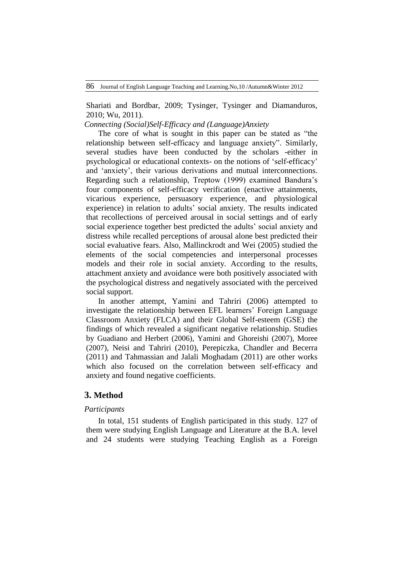Shariati and Bordbar, 2009; Tysinger, Tysinger and Diamanduros, 2010; Wu, 2011).

*Connecting (Social)Self-Efficacy and (Language)Anxiety*

The core of what is sought in this paper can be stated as "the relationship between self-efficacy and language anxiety". Similarly, several studies have been conducted by the scholars -either in psychological or educational contexts- on the notions of 'self-efficacy' and 'anxiety', their various derivations and mutual interconnections. Regarding such a relationship, Treptow (1999) examined Bandura's four components of self-efficacy verification (enactive attainments, vicarious experience, persuasory experience, and physiological experience) in relation to adults' social anxiety. The results indicated that recollections of perceived arousal in social settings and of early social experience together best predicted the adults' social anxiety and distress while recalled perceptions of arousal alone best predicted their social evaluative fears. Also, Mallinckrodt and Wei (2005) studied the elements of the social competencies and interpersonal processes models and their role in social anxiety. According to the results, attachment anxiety and avoidance were both positively associated with the psychological distress and negatively associated with the perceived social support.

In another attempt, Yamini and Tahriri (2006) attempted to investigate the relationship between EFL learners' Foreign Language Classroom Anxiety (FLCA) and their Global Self-esteem (GSE) the findings of which revealed a significant negative relationship. Studies by Guadiano and Herbert (2006), Yamini and Ghoreishi (2007), Moree (2007), Neisi and Tahriri (2010), Perepiczka, Chandler and Becerra (2011) and Tahmassian and Jalali Moghadam (2011) are other works which also focused on the correlation between self-efficacy and anxiety and found negative coefficients.

# **3. Method**

# *Participants*

In total, 151 students of English participated in this study. 127 of them were studying English Language and Literature at the B.A. level and 24 students were studying Teaching English as a Foreign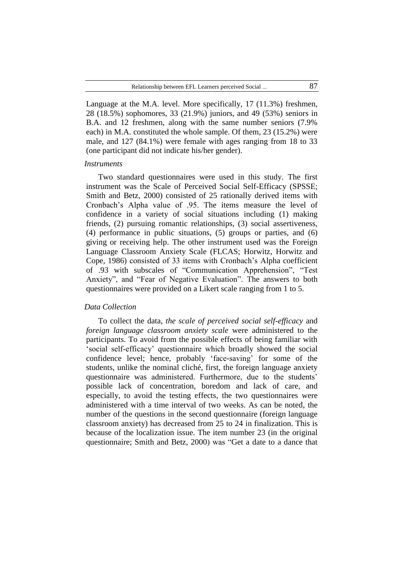Language at the M.A. level. More specifically, 17 (11.3%) freshmen, 28 (18.5%) sophomores, 33 (21.9%) juniors, and 49 (53%) seniors in B.A. and 12 freshmen, along with the same number seniors (7.9% each) in M.A. constituted the whole sample. Of them, 23 (15.2%) were male, and 127 (84.1%) were female with ages ranging from 18 to 33 (one participant did not indicate his/her gender).

#### *Instruments*

Two standard questionnaires were used in this study. The first instrument was the Scale of Perceived Social Self-Efficacy (SPSSE; Smith and Betz, 2000) consisted of 25 rationally derived items with Cronbach's Alpha value of .95. The items measure the level of confidence in a variety of social situations including (1) making friends, (2) pursuing romantic relationships, (3) social assertiveness, (4) performance in public situations, (5) groups or parties, and (6) giving or receiving help. The other instrument used was the Foreign Language Classroom Anxiety Scale (FLCAS; Horwitz, Horwitz and Cope, 1986) consisted of 33 items with Cronbach's Alpha coefficient of .93 with subscales of "Communication Apprehension", "Test Anxiety", and "Fear of Negative Evaluation". The answers to both questionnaires were provided on a Likert scale ranging from 1 to 5.

### *Data Collection*

To collect the data, *the scale of perceived social self-efficacy* and *foreign language classroom anxiety scale* were administered to the participants. To avoid from the possible effects of being familiar with 'social self-efficacy' questionnaire which broadly showed the social confidence level; hence, probably 'face-saving' for some of the students, unlike the nominal cliché, first, the foreign language anxiety questionnaire was administered. Furthermore, due to the students' possible lack of concentration, boredom and lack of care, and especially, to avoid the testing effects, the two questionnaires were administered with a time interval of two weeks. As can be noted, the number of the questions in the second questionnaire (foreign language classroom anxiety) has decreased from 25 to 24 in finalization. This is because of the localization issue. The item number 23 (in the original questionnaire; Smith and Betz, 2000) was "Get a date to a dance that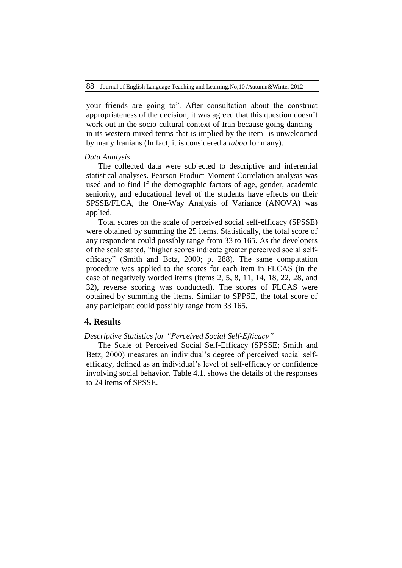your friends are going to". After consultation about the construct appropriateness of the decision, it was agreed that this question doesn't work out in the socio-cultural context of Iran because going dancing in its western mixed terms that is implied by the item- is unwelcomed by many Iranians (In fact, it is considered a *taboo* for many).

#### *Data Analysis*

The collected data were subjected to descriptive and inferential statistical analyses. Pearson Product-Moment Correlation analysis was used and to find if the demographic factors of age, gender, academic seniority, and educational level of the students have effects on their SPSSE/FLCA, the One-Way Analysis of Variance (ANOVA) was applied.

Total scores on the scale of perceived social self-efficacy (SPSSE) were obtained by summing the 25 items. Statistically, the total score of any respondent could possibly range from 33 to 165. As the developers of the scale stated, "higher scores indicate greater perceived social selfefficacy" (Smith and Betz, 2000; p. 288). The same computation procedure was applied to the scores for each item in FLCAS (in the case of negatively worded items (items 2, 5, 8, 11, 14, 18, 22, 28, and 32), reverse scoring was conducted). The scores of FLCAS were obtained by summing the items. Similar to SPPSE, the total score of any participant could possibly range from 33 165.

### **4. Results**

# *Descriptive Statistics for "Perceived Social Self-Efficacy"*

The Scale of Perceived Social Self-Efficacy (SPSSE; Smith and Betz, 2000) measures an individual's degree of perceived social selfefficacy, defined as an individual's level of self-efficacy or confidence involving social behavior. Table 4.1. shows the details of the responses to 24 items of SPSSE.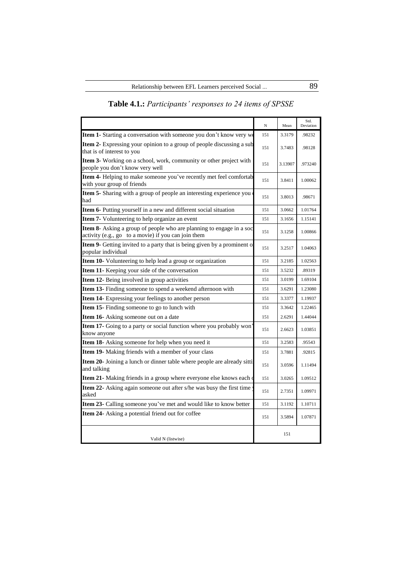|                                                                                                                             | $_{\rm N}$ | Mean    | Std.<br>Deviation |
|-----------------------------------------------------------------------------------------------------------------------------|------------|---------|-------------------|
| Item 1- Starting a conversation with someone you don't know very we                                                         | 151        | 3.3179  | .98232            |
| Item 2- Expressing your opinion to a group of people discussing a sub<br>that is of interest to you                         | 151        | 3.7483  | .98128            |
| Item 3- Working on a school, work, community or other project with<br>people you don't know very well                       | 151        | 3.13907 | .973240           |
| Item 4- Helping to make someone you've recently met feel comfortab<br>with your group of friends                            | 151        | 3.8411  | 1.00062           |
| Item 5- Sharing with a group of people an interesting experience you<br>had                                                 | 151        | 3.8013  | .98671            |
| Item 6- Putting yourself in a new and different social situation                                                            | 151        | 3.0662  | 1.01764           |
| Item 7- Volunteering to help organize an event                                                                              | 151        | 3.1656  | 1.15141           |
| Item 8- Asking a group of people who are planning to engage in a soc<br>activity (e.g., go to a movie) if you can join them | 151        | 3.1258  | 1.00866           |
| Item 9- Getting invited to a party that is being given by a prominent o<br>popular individual                               | 151        | 3.2517  | 1.04063           |
| Item 10- Volunteering to help lead a group or organization                                                                  | 151        | 3.2185  | 1.02563           |
| Item 11- Keeping your side of the conversation                                                                              | 151        | 3.5232  | .89319            |
| Item 12- Being involved in group activities                                                                                 | 151        | 3.0199  | 1.69104           |
| Item 13- Finding someone to spend a weekend afternoon with                                                                  | 151        | 3.6291  | 1.23080           |
| <b>Item 14-</b> Expressing your feelings to another person                                                                  | 151        | 3.3377  | 1.19937           |
| Item 15- Finding someone to go to lunch with                                                                                | 151        | 3.3642  | 1.22465           |
| Item 16- Asking someone out on a date                                                                                       | 151        | 2.6291  | 1.44044           |
| Item 17- Going to a party or social function where you probably won<br>know anyone                                          | 151        | 2.6623  | 1.03851           |
| Item 18- Asking someone for help when you need it                                                                           | 151        | 3.2583  | .95543            |
| Item 19- Making friends with a member of your class                                                                         | 151        | 3.7881  | .92815            |
| Item 20- Joining a lunch or dinner table where people are already sitti<br>and talking                                      | 151        | 3.0596  | 1.11494           |
| Item 21- Making friends in a group where everyone else knows each                                                           | 151        | 3.0265  | 1.09512           |
| Item 22- Asking again someone out after s/he was busy the first time<br>asked                                               | 151        | 2.7351  | 1.09971           |
| Item 23- Calling someone you've met and would like to know better                                                           | 151        | 3.1192  | 1.10711           |
| Item 24- Asking a potential friend out for coffee                                                                           | 151        | 3.5894  | 1.07871           |
| Valid N (listwise)                                                                                                          |            | 151     |                   |

# **Table 4.1.:** *Participants' responses to 24 items of SPSSE*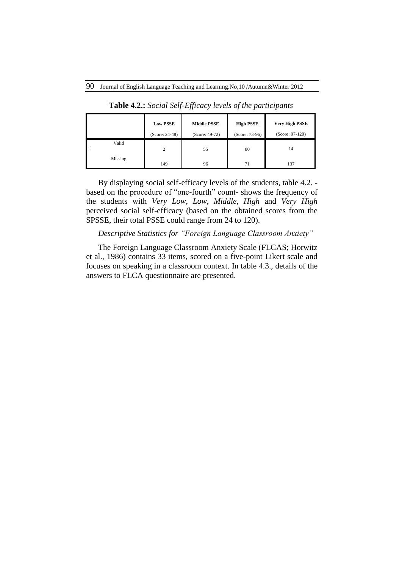|              | <b>Low PSSE</b><br>$(Score: 24-48)$ | <b>Middle PSSE</b><br>$(Score: 49-72)$ | <b>High PSSE</b><br>(Score: 73-96) | <b>Very High PSSE</b><br>$(Score: 97-120)$ |
|--------------|-------------------------------------|----------------------------------------|------------------------------------|--------------------------------------------|
| Valid<br>. . | 2                                   | 55                                     | 80                                 | 14                                         |
| Missing      | 149                                 | 96                                     | 71                                 | 137                                        |

**Table 4.2.:** *Social Self-Efficacy levels of the participants*

By displaying social self-efficacy levels of the students, table 4.2. based on the procedure of "one-fourth" count- shows the frequency of the students with *Very Low*, *Low*, *Middle*, *High* and *Very High* perceived social self-efficacy (based on the obtained scores from the SPSSE, their total PSSE could range from 24 to 120).

# *Descriptive Statistics for "Foreign Language Classroom Anxiety"*

The Foreign Language Classroom Anxiety Scale (FLCAS; Horwitz et al., 1986) contains 33 items, scored on a five-point Likert scale and focuses on speaking in a classroom context. In table 4.3., details of the answers to FLCA questionnaire are presented.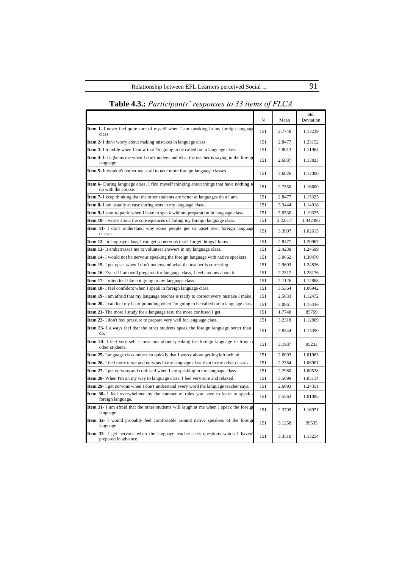|                                                                                                                      |     |         | Std.      |
|----------------------------------------------------------------------------------------------------------------------|-----|---------|-----------|
|                                                                                                                      | N   | Mean    | Deviation |
| <b>Item 1-</b> I never feel quite sure of myself when I am speaking in my foreign language<br>class.                 | 151 | 2.7748  | 1.13239   |
| <b>Item 2-</b> I don't worry about making mistakes in language class.                                                | 151 | 2.8477  | 1.23152   |
| Item 3- I tremble when I know that I'm going to be called on in language class                                       | 151 | 2.8013  | 1.11964   |
| <b>Item 4-</b> It frightens me when I don't understand what the teacher is saying in the foreign<br>language.        | 151 | 2.6887  | 1.13833   |
| <b>Item 5</b> It wouldn't bother me at all to take more foreign language classes.                                    | 151 | 3.6026  | 1.12000   |
| <b>Item 6-</b> During language class, I find myself thinking about things that have nothing t<br>do with the course. | 151 | 2.7550  | 1.16600   |
| <b>Item 7-</b> I keep thinking that the other students are better at languages than I am.                            | 151 | 2.8477  | 1.15325   |
| <b>Item 8-</b> I am usually at ease during tests in my language class.                                               | 151 | 3.3444  | 1.14918   |
| <b>Item 9-</b> I start to panic when I have to speak without preparation in language class.                          | 151 | 3.0530  | 1.19325   |
| <b>Item 10-</b> I worry about the consequences of failing my foreign language class.                                 | 151 | 3.22517 | 1.342496  |
| <b>Item 11-</b> I don't understand why some people get so upset over foreign language<br>classes.                    | 151 | 3.3907  | 1.02615   |
| <b>Item 12-</b> In language class, I can get so nervous that I forget things I know.                                 | 151 | 2.8477  | 1.20967   |
| <b>Item 13-</b> It embarrasses me to volunteer answers in my language class.                                         | 151 | 2.4238  | 1.24599   |
| <b>Item 14-</b> I would not be nervous speaking the foreign language with native speakers.                           | 151 | 3.0662  | 1.30470   |
| <b>Item 15</b> I get upset when I don't understand what the teacher is correcting.                                   | 151 | 2.9603  | 1.24836   |
| <b>Item 16</b> Even if I am well prepared for language class, I feel anxious about it.                               | 151 | 2.2517  | 1.28176   |
| <b>Item 17-</b> I often feel like not going to my language class.                                                    | 151 | 2.1126  | 1.12868   |
| <b>Item 18</b> I feel confident when I speak in foreign language class.                                              | 151 | 3.5364  | 1.06942   |
| <b>Item 19-</b> I am afraid that my language teacher is ready to correct every mistake I make.                       | 151 | 2.5033  | 1.12472   |
| <b>Item 20-</b> I can feel my heart pounding when I'm going to be called on in language class                        | 151 | 3.0861  | 1.15436   |
| Item 21- The more I study for a language test, the more confused I get.                                              | 151 | 1.7748  | .85769    |
| Item 22- I don't feel pressure to prepare very well for language class.                                              | 151 | 3.2318  | 1.12809   |
| <b>Item 23-</b> I always feel that the other students speak the foreign language better than<br>do.                  | 151 | 2.8344  | 1.13390   |
| <b>Item 24-</b> I feel very self - conscious about speaking the foreign language in front of<br>other students.      | 151 | 3.1987  | .95233    |
| Item 25- Language class moves so quickly that I worry about getting left behind.                                     | 151 | 2.6093  | 1.01963   |
| <b>Item 26-</b> I feel more tense and nervous in my language class than in my other classes.                         | 151 | 2.2384  | 1.06901   |
| <b>Item 27-</b> I get nervous and confused when I am speaking in my language class.                                  | 151 | 2.2980  | 1.00528   |
| <b>Item 28-</b> When I'm on my way to language class, I feel very sure and relaxed.                                  | 151 | 3.5099  | 1.05114   |
| <b>Item 29-</b> I get nervous when I don't understand every word the language teacher says.                          | 151 | 2.6093  | 1.24351   |
| <b>Item 30-</b> I feel overwhelmed by the number of rules you have to learn to speak<br>foreign language.            | 151 | 2.5563  | 1.01085   |
| <b>Item 31-</b> I am afraid that the other students will laugh at me when I speak the foreign<br>language.           | 151 | 2.3709  | 1.16971   |
| Item 32- I would probably feel comfortable around native speakers of the foreign<br>language.                        | 151 | 3.1258  | .99535    |
| <b>Item 33-</b> I get nervous when the language teacher asks questions which I haven'<br>prepared in advance.        | 151 | 3.3510  | 1.13254   |

# **Table 4.3.:** *Participants' responses to 33 items of FLCA*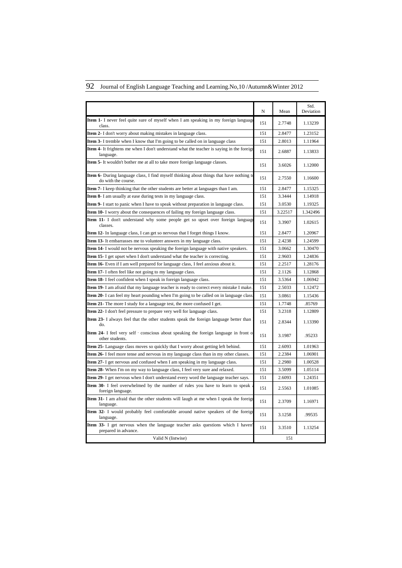# 92 Journal of English Language Teaching and Learning.No,10 /Autumn&Winter 2012

|                                                                                                                       | N   | Mean    | Std.<br>Deviation |
|-----------------------------------------------------------------------------------------------------------------------|-----|---------|-------------------|
| <b>Item 1-</b> I never feel quite sure of myself when I am speaking in my foreign language<br>class.                  | 151 | 2.7748  | 1.13239           |
| <b>Item 2-</b> I don't worry about making mistakes in language class.                                                 | 151 | 2.8477  | 1.23152           |
| <b>Item 3-</b> I tremble when I know that I'm going to be called on in language class                                 | 151 | 2.8013  | 1.11964           |
| <b>Item 4-</b> It frightens me when I don't understand what the teacher is saying in the foreign<br>language.         | 151 | 2.6887  | 1.13833           |
| <b>Item 5-</b> It wouldn't bother me at all to take more foreign language classes.                                    | 151 | 3.6026  | 1.12000           |
| <b>Item 6-</b> During language class, I find myself thinking about things that have nothing to<br>do with the course. | 151 | 2.7550  | 1.16600           |
| <b>Item 7-</b> I keep thinking that the other students are better at languages than I am.                             | 151 | 2.8477  | 1.15325           |
| <b>Item 8-</b> I am usually at ease during tests in my language class.                                                | 151 | 3.3444  | 1.14918           |
| <b>Item 9-</b> I start to panic when I have to speak without preparation in language class.                           | 151 | 3.0530  | 1.19325           |
| <b>Item 10-</b> I worry about the consequences of failing my foreign language class.                                  | 151 | 3.22517 | 1.342496          |
| <b>Item 11-</b> I don't understand why some people get so upset over foreign language<br>classes.                     | 151 | 3.3907  | 1.02615           |
| <b>Item 12-</b> In language class, I can get so nervous that I forget things I know.                                  | 151 | 2.8477  | 1.20967           |
| <b>Item 13-</b> It embarrasses me to volunteer answers in my language class.                                          | 151 | 2.4238  | 1.24599           |
| <b>Item 14-</b> I would not be nervous speaking the foreign language with native speakers.                            | 151 | 3.0662  | 1.30470           |
| Item 15- I get upset when I don't understand what the teacher is correcting.                                          | 151 | 2.9603  | 1.24836           |
| <b>Item 16</b> - Even if I am well prepared for language class, I feel anxious about it.                              | 151 | 2.2517  | 1.28176           |
| <b>Item 17-</b> I often feel like not going to my language class.                                                     | 151 | 2.1126  | 1.12868           |
| Item 18- I feel confident when I speak in foreign language class.                                                     | 151 | 3.5364  | 1.06942           |
| <b>Item 19-</b> I am afraid that my language teacher is ready to correct every mistake I make.                        | 151 | 2.5033  | 1.12472           |
| <b>Item 20-</b> I can feel my heart pounding when I'm going to be called on in language class                         | 151 | 3.0861  | 1.15436           |
| <b>Item 21-</b> The more I study for a language test, the more confused I get.                                        | 151 | 1.7748  | .85769            |
| <b>Item 22-</b> I don't feel pressure to prepare very well for language class.                                        | 151 | 3.2318  | 1.12809           |
| Item 23- I always feel that the other students speak the foreign language better than<br>do.                          | 151 | 2.8344  | 1.13390           |
| <b>Item 24-</b> I feel very self - conscious about speaking the foreign language in front of<br>other students.       | 151 | 3.1987  | .95233            |
| <b>Item 25-</b> Language class moves so quickly that I worry about getting left behind.                               | 151 | 2.6093  | 1.01963           |
| Item 26- I feel more tense and nervous in my language class than in my other classes.                                 | 151 | 2.2384  | 1.06901           |
| <b>Item 27-</b> I get nervous and confused when I am speaking in my language class.                                   | 151 | 2.2980  | 1.00528           |
| Item 28- When I'm on my way to language class, I feel very sure and relaxed.                                          | 151 | 3.5099  | 1.05114           |
| <b>Item 29-</b> I get nervous when I don't understand every word the language teacher says.                           | 151 | 2.6093  | 1.24351           |
| Item 30- I feel overwhelmed by the number of rules you have to learn to speak<br>foreign language.                    | 151 | 2.5563  | 1.01085           |
| <b>Item 31-</b> I am afraid that the other students will laugh at me when I speak the foreign<br>language.            | 151 | 2.3709  | 1.16971           |
| Item 32- I would probably feel comfortable around native speakers of the foreig<br>language.                          | 151 | 3.1258  | .99535            |
| <b>Item 33-</b> I get nervous when the language teacher asks questions which I haven<br>prepared in advance.          | 151 | 3.3510  | 1.13254           |
| Valid N (listwise)                                                                                                    |     | 151     |                   |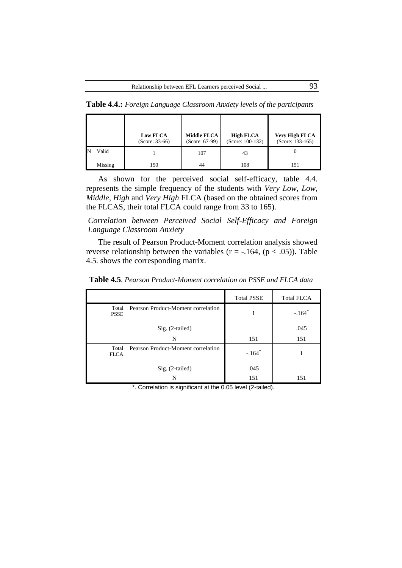**Table 4.4.:** *Foreign Language Classroom Anxiety levels of the participants*

|         | <b>Low FLCA</b><br>$(Score: 33-66)$ | Middle FLCA<br>(Score: 67-99) | <b>High FLCA</b><br>$(Score: 100-132)$ | Very High FLCA<br>$(Score: 133-165)$ |
|---------|-------------------------------------|-------------------------------|----------------------------------------|--------------------------------------|
| Valid   |                                     | 107                           | 43                                     |                                      |
| Missing | 150                                 | 44                            | 108                                    | 151                                  |

As shown for the perceived social self-efficacy, table 4.4. represents the simple frequency of the students with *Very Low*, *Low*, *Middle*, *High* and *Very High* FLCA (based on the obtained scores from the FLCAS, their total FLCA could range from 33 to 165).

*Correlation between Perceived Social Self-Efficacy and Foreign Language Classroom Anxiety*

The result of Pearson Product-Moment correlation analysis showed reverse relationship between the variables ( $r = -.164$ , ( $p < .05$ )). Table 4.5. shows the corresponding matrix.

|                      |                                    | <b>Total PSSE</b>    | <b>Total FLCA</b>    |
|----------------------|------------------------------------|----------------------|----------------------|
| Total<br><b>PSSE</b> | Pearson Product-Moment correlation |                      | $-.164$ <sup>*</sup> |
|                      | Sig. (2-tailed)                    |                      | .045                 |
|                      | N                                  | 151                  | 151                  |
| Total<br><b>FLCA</b> | Pearson Product-Moment correlation | $-.164$ <sup>*</sup> |                      |
|                      | Sig. (2-tailed)                    | .045                 |                      |
|                      | N                                  | 151                  | 151                  |

**Table 4.5**. *Pearson Product-Moment correlation on PSSE and FLCA data*

\*. Correlation is significant at the 0.05 level (2-tailed).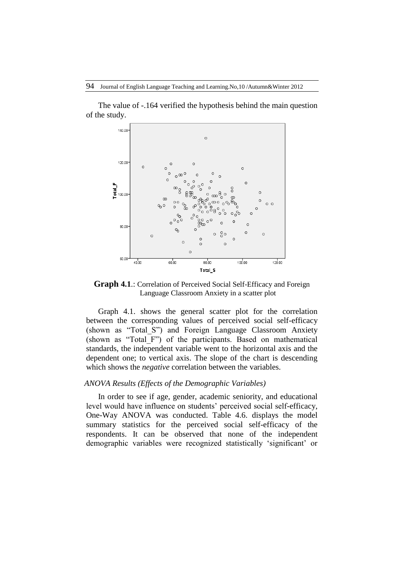The value of -.164 verified the hypothesis behind the main question of the study.



**Graph 4.1**.: Correlation of Perceived Social Self-Efficacy and Foreign Language Classroom Anxiety in a scatter plot

Graph 4.1. shows the general scatter plot for the correlation between the corresponding values of perceived social self-efficacy (shown as "Total\_S") and Foreign Language Classroom Anxiety (shown as "Total\_F") of the participants. Based on mathematical standards, the independent variable went to the horizontal axis and the dependent one; to vertical axis. The slope of the chart is descending which shows the *negative* correlation between the variables.

#### *ANOVA Results (Effects of the Demographic Variables)*

In order to see if age, gender, academic seniority, and educational level would have influence on students' perceived social self-efficacy, One-Way ANOVA was conducted. Table 4.6. displays the model summary statistics for the perceived social self-efficacy of the respondents. It can be observed that none of the independent demographic variables were recognized statistically 'significant' or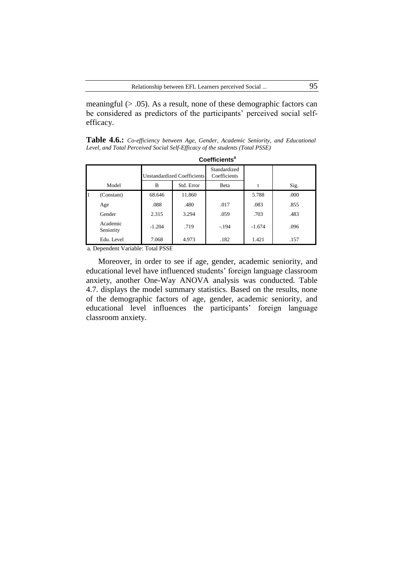meaningful  $(> .05)$ . As a result, none of these demographic factors can be considered as predictors of the participants' perceived social selfefficacy.

**Table 4.6.:** *Co-efficiency between Age, Gender, Academic Seniority, and Educational Level, and Total Perceived Social Self-Efficacy of the students (Total PSSE)*

|   | <b>Coefficients<sup>a</sup></b> |                             |            |                              |          |      |  |  |
|---|---------------------------------|-----------------------------|------------|------------------------------|----------|------|--|--|
|   |                                 | Unstandardized Coefficients |            | Standardized<br>Coefficients |          |      |  |  |
|   | Model                           | B                           | Std. Error | Beta                         | t        | Sig. |  |  |
| 1 | (Constant)                      | 68.646                      | 11.860     |                              | 5.788    | .000 |  |  |
|   | Age                             | .088                        | .480       | .017                         | .083     | .855 |  |  |
|   | Gender                          | 2.315                       | 3.294      | .059                         | .703     | .483 |  |  |
|   | Academic<br>Seniority           | $-1.204$                    | .719       | $-194$                       | $-1.674$ | .096 |  |  |
|   | Edu. Level                      | 7.068                       | 4.973      | .182                         | 1.421    | .157 |  |  |

a. Dependent Variable: Total PSSE

Moreover, in order to see if age, gender, academic seniority, and educational level have influenced students' foreign language classroom anxiety, another One-Way ANOVA analysis was conducted. Table 4.7. displays the model summary statistics. Based on the results, none of the demographic factors of age, gender, academic seniority, and educational level influences the participants' foreign language classroom anxiety.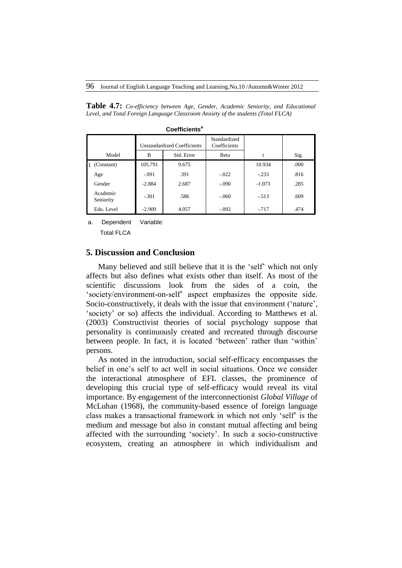**Table 4.7:** *Co-efficiency between Age, Gender, Academic Seniority, and Educational Level, and Total Foreign Language Classroom Anxiety of the students (Total FLCA)*

|                            | <b>Unstandardized Coefficients</b> |            | Standardized<br>Coefficients |          |      |
|----------------------------|------------------------------------|------------|------------------------------|----------|------|
| Model                      | B                                  | Std. Error | Beta                         | t        | Sig. |
| (Constant)<br>$\mathbf{1}$ | 105.791                            | 9.675      |                              | 10.934   | .000 |
| Age                        | $-.091$                            | .391       | $-.022$                      | $-.233$  | .816 |
| Gender                     | $-2.884$                           | 2.687      | $-.090$                      | $-1.073$ | .285 |
| Academic<br>Seniority      | $-.301$                            | .586       | $-.060$                      | $-513$   | .609 |
| Edu. Level                 | $-2.909$                           | 4.057      | $-.092$                      | $-717$   | .474 |

**Coefficients<sup>a</sup>**

a. Dependent Variable:

Total FLCA

# **5. Discussion and Conclusion**

Many believed and still believe that it is the 'self' which not only affects but also defines what exists other than itself. As most of the scientific discussions look from the sides of a coin, the 'society/environment-on-self' aspect emphasizes the opposite side. Socio-constructively, it deals with the issue that environment ('nature', 'society' or so) affects the individual. According to Matthews et al. (2003) Constructivist theories of social psychology suppose that personality is continuously created and recreated through discourse between people. In fact, it is located 'between' rather than 'within' persons.

As noted in the introduction, social self-efficacy encompasses the belief in one's self to act well in social situations. Once we consider the interactional atmosphere of EFL classes, the prominence of developing this crucial type of self-efficacy would reveal its vital importance. By engagement of the interconnectionist *Global Village* of McLuhan (1968), the community-based essence of foreign language class makes a transactional framework in which not only 'self' is the medium and message but also in constant mutual affecting and being affected with the surrounding 'society'. In such a socio-constructive ecosystem, creating an atmosphere in which individualism and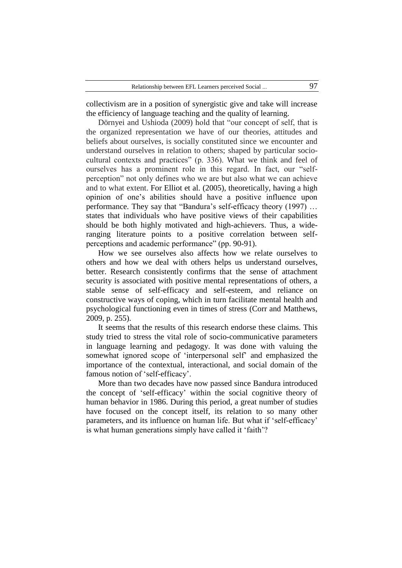collectivism are in a position of synergistic give and take will increase the efficiency of language teaching and the quality of learning.

Dörnyei and Ushioda (2009) hold that "our concept of self, that is the organized representation we have of our theories, attitudes and beliefs about ourselves, is socially constituted since we encounter and understand ourselves in relation to others; shaped by particular sociocultural contexts and practices" (p. 336). What we think and feel of ourselves has a prominent role in this regard. In fact, our "selfperception" not only defines who we are but also what we can achieve and to what extent. For Elliot et al. (2005), theoretically, having a high opinion of one's abilities should have a positive influence upon performance. They say that "Bandura's self-efficacy theory (1997) … states that individuals who have positive views of their capabilities should be both highly motivated and high-achievers. Thus, a wideranging literature points to a positive correlation between selfperceptions and academic performance" (pp. 90-91).

How we see ourselves also affects how we relate ourselves to others and how we deal with others helps us understand ourselves, better. Research consistently confirms that the sense of attachment security is associated with positive mental representations of others, a stable sense of self-efficacy and self-esteem, and reliance on constructive ways of coping, which in turn facilitate mental health and psychological functioning even in times of stress (Corr and Matthews, 2009, p. 255).

It seems that the results of this research endorse these claims. This study tried to stress the vital role of socio-communicative parameters in language learning and pedagogy. It was done with valuing the somewhat ignored scope of 'interpersonal self' and emphasized the importance of the contextual, interactional, and social domain of the famous notion of 'self-efficacy'.

More than two decades have now passed since Bandura introduced the concept of 'self-efficacy' within the social cognitive theory of human behavior in 1986. During this period, a great number of studies have focused on the concept itself, its relation to so many other parameters, and its influence on human life. But what if 'self-efficacy' is what human generations simply have called it 'faith'?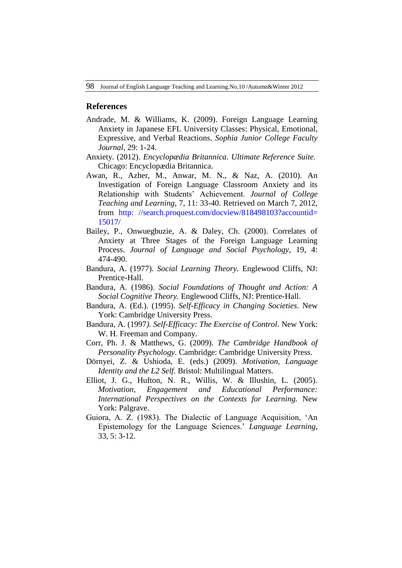#### **References**

- Andrade, M. & Williams, K. (2009). Foreign Language Learning Anxiety in Japanese EFL University Classes: Physical, Emotional, Expressive, and Verbal Reactions. *Sophia Junior College Faculty Journal*, 29: 1-24.
- Anxiety. (2012). *Encyclopædia Britannica*. *Ultimate Reference Suite.* Chicago: Encyclopædia Britannica.
- Awan, R., Azher, M., Anwar, M. N., & Naz, A. (2010). An Investigation of Foreign Language Classroom Anxiety and its Relationship with Students' Achievement. *Journal of College Teaching and Learning*, 7, 11: 33-40. Retrieved on March 7, 2012, from http: [//search.proquest.com/docview/818498103?accountid=](http://search.proquest.com/docview/818498103?accountid=15017/) [15017/](http://search.proquest.com/docview/818498103?accountid=15017/)
- Bailey, P., Onwuegbuzie, A. & Daley, Ch. (2000). Correlates of Anxiety at Three Stages of the Foreign Language Learning Process. *Journal of Language and Social Psychology*, 19, 4: 474-490.
- Bandura, A. (1977). *Social Learning Theory.* Englewood Cliffs, NJ: Prentice-Hall.
- Bandura, A. (1986). *Social Foundations of Thought and Action: A Social Cognitive Theory.* Englewood Cliffs, NJ: Prentice-Hall.
- Bandura, A. (Ed.). (1995). *Self-Efficacy in Changing Societies*. New York: Cambridge University Press.
- Bandura, A. (1997*). Self-Efficacy: The Exercise of Control*. New York: W. H. Freeman and Company.
- Corr, Ph. J. & Matthews, G. (2009). *The Cambridge Handbook of Personality Psychology*. Cambridge: Cambridge University Press.
- Dörnyei, Z. & Ushioda, E. (eds.) (2009). *Motivation, Language Identity and the L2 Self.* Bristol: Multilingual Matters.
- Elliot, J. G., Hufton, N. R., Willis, W. & Illushin, L. (2005). *Motivation, Engagement and Educational Performance: International Perspectives on the Contexts for Learning.* New York: Palgrave.
- Guiora, A. Z. (1983). The Dialectic of Language Acquisition, 'An Epistemology for the Language Sciences.' *Language Learning*, 33, 5: 3-12.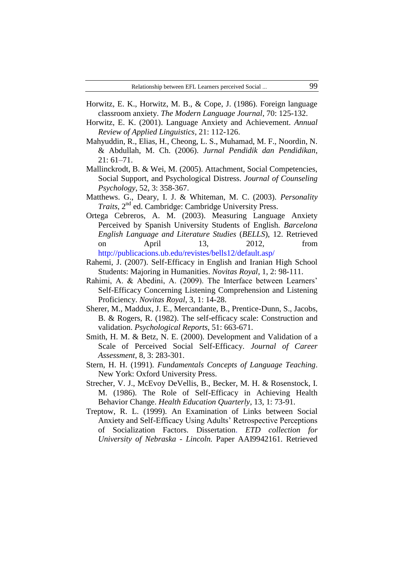- Horwitz, E. K., Horwitz, M. B., & Cope, J. (1986). Foreign language classroom anxiety. *The Modern Language Journal*, 70: 125-132.
- Horwitz, E. K. (2001). Language Anxiety and Achievement. *Annual Review of Applied Linguistics*, 21: 112-126.
- Mahyuddin, R., Elias, H., Cheong, L. S., Muhamad, M. F., Noordin, N. & Abdullah, M. Ch. (2006). *Jurnal Pendidik dan Pendidikan*, 21: 61–71.
- Mallinckrodt, B. & Wei, M. (2005). Attachment, Social Competencies, Social Support, and Psychological Distress. *Journal of Counseling Psychology*, 52, 3: 358-367.
- Matthews. G., Deary, I. J. & Whiteman, M. C. (2003). *Personality Traits*,  $2^{nd}$  ed. Cambridge: Cambridge University Press.
- Ortega Cebreros, A. M. (2003). Measuring Language Anxiety Perceived by Spanish University Students of English. *Barcelona English Language and Literature Studies* (*BELLS*), 12. Retrieved on April 13, 2012, from <http://publicacions.ub.edu/revistes/bells12/default.asp/>
- Rahemi, J. (2007). Self-Efficacy in English and Iranian High School Students: Majoring in Humanities. *Novitas Royal*, 1, 2: 98-111.
- Rahimi, A. & Abedini, A. (2009). The Interface between Learners' Self-Efficacy Concerning Listening Comprehension and Listening Proficiency. *Novitas Royal*, 3, 1: 14-28.
- Sherer, M., Maddux, J. E., Mercandante, B., Prentice-Dunn, S., Jacobs, B. & Rogers, R. (1982). The self-efficacy scale: Construction and validation. *Psychological Reports*, 51: 663-671.
- Smith, H. M. & Betz, N. E. (2000). Development and Validation of a Scale of Perceived Social Self-Efficacy. *Journal of Career Assessment*, 8, 3: 283-301.
- Stern, H. H. (1991). *Fundamentals Concepts of Language Teaching*. New York: Oxford University Press.
- Strecher, V. J., McEvoy DeVellis, B., Becker, M. H. & Rosenstock, I. M. (1986). The Role of Self-Efficacy in Achieving Health Behavior Change. *Health Education Quarterly*, 13, 1: 73-91.
- Treptow, R. L. (1999). [An Examination of Links between Social](http://digitalcommons.unl.edu/dissertations/AAI9942161) [Anxiety and Self-Efficacy Using Adults' Retrospective Perceptions](http://digitalcommons.unl.edu/dissertations/AAI9942161)  [of Socialization Factors. Dissertation.](http://digitalcommons.unl.edu/dissertations/AAI9942161) *ETD collection for University of Nebraska - Lincoln.* [Paper AAI9942161. Retrieved](http://digitalcommons.unl.edu/dissertations/AAI9942161)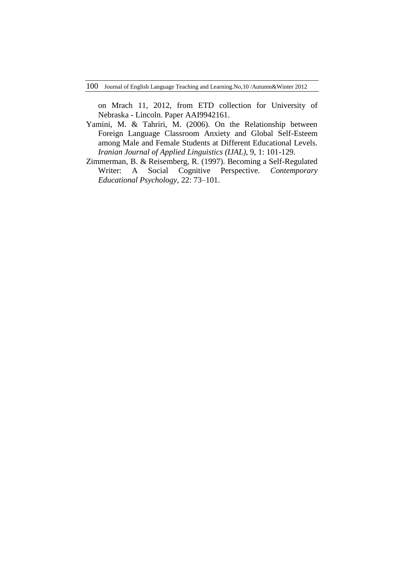on Mrach 11, 2012, from ETD collection for University of Nebraska - Lincoln. Paper AAI9942161.

- Yamini, M. & Tahriri, M. (2006). On the Relationship between Foreign Language Classroom Anxiety and Global Self-Esteem among Male and Female Students at Different Educational Levels. *Iranian Journal of Applied Linguistics (IJAL)*, 9, 1: 101-129.
- Zimmerman, B. & Reisemberg, R. (1997). Becoming a Self-Regulated Writer: A Social Cognitive Perspective. *Contemporary Educational Psychology*, 22: 73–101.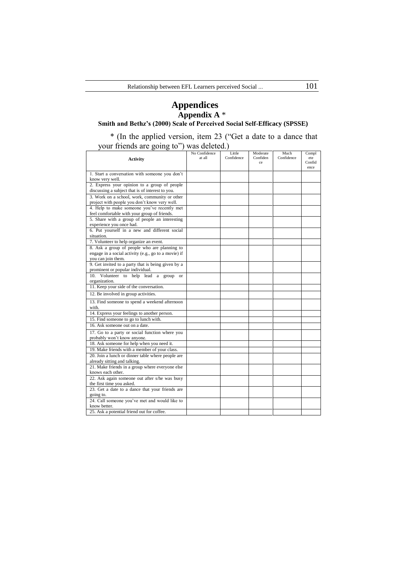# **Appendices Appendix A** \*

#### **Smith and Bethz's (2000) Scale of Perceived Social Self-Efficacy (SPSSE)**

\* (In the applied version, item 23 ("Get a date to a dance that your friends are going to") was deleted.)

|                                                             | No Confidence<br>at all | Little     | Moderate       | Much<br>Confidence | Compl         |
|-------------------------------------------------------------|-------------------------|------------|----------------|--------------------|---------------|
| <b>Activity</b>                                             |                         | Confidence | Confiden<br>ce |                    | ete<br>Confid |
|                                                             |                         |            |                |                    | ence          |
| 1. Start a conversation with someone you don't              |                         |            |                |                    |               |
| know very well.                                             |                         |            |                |                    |               |
| 2. Express your opinion to a group of people                |                         |            |                |                    |               |
| discussing a subject that is of interest to you.            |                         |            |                |                    |               |
| 3. Work on a school, work, community or other               |                         |            |                |                    |               |
| project with people you don't know very well.               |                         |            |                |                    |               |
| 4. Help to make someone you've recently met                 |                         |            |                |                    |               |
| feel comfortable with your group of friends.                |                         |            |                |                    |               |
| 5. Share with a group of people an interesting              |                         |            |                |                    |               |
| experience you once had.                                    |                         |            |                |                    |               |
| 6. Put yourself in a new and different social<br>situation. |                         |            |                |                    |               |
| 7. Volunteer to help organize an event.                     |                         |            |                |                    |               |
| 8. Ask a group of people who are planning to                |                         |            |                |                    |               |
| engage in a social activity (e.g., go to a movie) if        |                         |            |                |                    |               |
| you can join them.                                          |                         |            |                |                    |               |
| 9. Get invited to a party that is being given by a          |                         |            |                |                    |               |
| prominent or popular individual.                            |                         |            |                |                    |               |
| 10. Volunteer to help lead a group<br><b>or</b>             |                         |            |                |                    |               |
| organization.                                               |                         |            |                |                    |               |
| 11. Keep your side of the conversation.                     |                         |            |                |                    |               |
| 12. Be involved in group activities.                        |                         |            |                |                    |               |
| 13. Find someone to spend a weekend afternoon               |                         |            |                |                    |               |
| with.                                                       |                         |            |                |                    |               |
| 14. Express your feelings to another person.                |                         |            |                |                    |               |
| 15. Find someone to go to lunch with.                       |                         |            |                |                    |               |
| 16. Ask someone out on a date.                              |                         |            |                |                    |               |
| 17. Go to a party or social function where you              |                         |            |                |                    |               |
| probably won't know anyone.                                 |                         |            |                |                    |               |
| 18. Ask someone for help when you need it.                  |                         |            |                |                    |               |
| 19. Make friends with a member of your class.               |                         |            |                |                    |               |
| 20. Join a lunch or dinner table where people are           |                         |            |                |                    |               |
| already sitting and talking.                                |                         |            |                |                    |               |
| 21. Make friends in a group where everyone else             |                         |            |                |                    |               |
| knows each other.                                           |                         |            |                |                    |               |
| 22. Ask again someone out after s/he was busy               |                         |            |                |                    |               |
| the first time you asked.                                   |                         |            |                |                    |               |
| 23. Get a date to a dance that your friends are             |                         |            |                |                    |               |
| going to.<br>24. Call someone you've met and would like to  |                         |            |                |                    |               |
| know better.                                                |                         |            |                |                    |               |
| 25. Ask a potential friend out for coffee.                  |                         |            |                |                    |               |
|                                                             |                         |            |                |                    |               |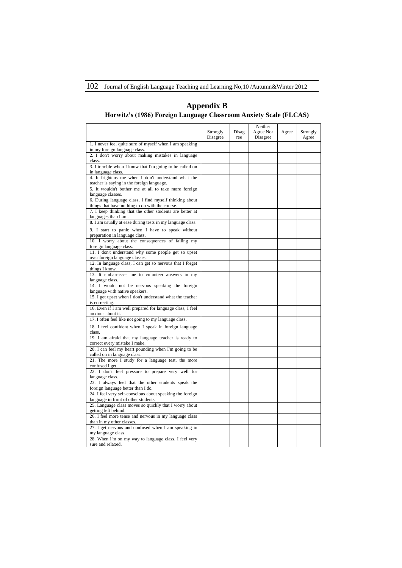102 Journal of English Language Teaching and Learning.No,10 /Autumn&Winter 2012

#### Strongly Disagree Disag ree Neither Agree Nor Disagree Agree Strongly Agree 1. I never feel quite sure of myself when I am speaking in my foreign language class. 2. I don't worry about making mistakes in language class. 3. I tremble when I know that I'm going to be called on in language class. 4. It frightens me when I don't understand what the teacher is saying in the foreign language. 5. It wouldn't bother me at all to take more foreign language classes. 6. During language class, I find myself thinking about things that have nothing to do with the course. 7. I keep thinking that the other students are better at languages than I am. 8. I am usually at ease during tests in my language class. 9. I start to panic when I have to speak without preparation in language class. 10. I worry about the consequences of failing my foreign language class. 11. I don't understand why some people get so upset over foreign language classes. 12. In language class, I can get so nervous that I forget things I know. 13. It embarrasses me to volunteer answers in my language class. 14. I would not be nervous speaking the foreign language with native speakers. 15. I get upset when I don't understand what the teacher is correcting. 16. Even if I am well prepared for language class, I feel anxious about it. 17. I often feel like not going to my language class. 18. I feel confident when I speak in foreign language class. 19. I am afraid that my language teacher is ready to correct every mistake I make. 20. I can feel my heart pounding when I'm going to be called on in language class. 21. The more I study for a language test, the more confused I get. 22. I don't feel pressure to prepare very well for language class. 23. I always feel that the other students speak the foreign language better than I do. 24. I feel very self‐conscious about speaking the foreign language in front of other students. 25. Language class moves so quickly that I worry about getting left behind. 26. I feel more tense and nervous in my language class than in my other classes 27. I get nervous and confused when I am speaking in my language class. 28. When I'm on my way to language class, I feel very sure and relaxed.

#### **Appendix B Horwitz's (1986) Foreign Language Classroom Anxiety Scale (FLCAS)**